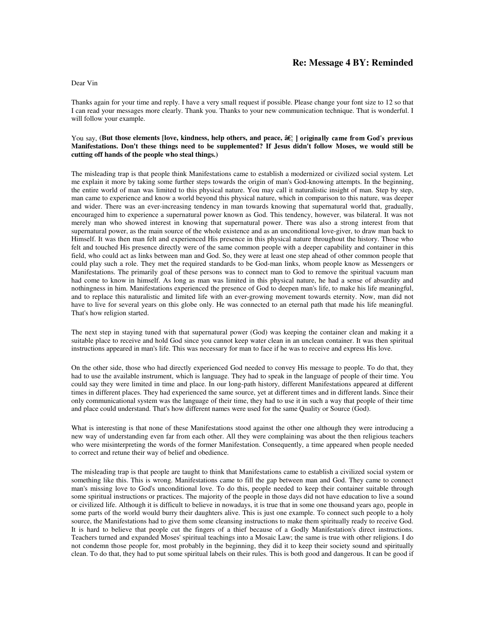## **Re: Message 4 BY: Reminded**

## Dear Vin

Thanks again for your time and reply. I have a very small request if possible. Please change your font size to 12 so that I can read your messages more clearly. Thank you. Thanks to your new communication technique. That is wonderful. I will follow your example.

## You say, (But those elements [love, kindness, help others, and peace, âE¦ ] originally came from God's previous **Manifestations. Don't these things need to be supplemented? If Jesus didn't follow Moses, we would still be cutting off hands of the people who steal things.)**

The misleading trap is that people think Manifestations came to establish a modernized or civilized social system. Let me explain it more by taking some further steps towards the origin of man's God-knowing attempts. In the beginning, the entire world of man was limited to this physical nature. You may call it naturalistic insight of man. Step by step, man came to experience and know a world beyond this physical nature, which in comparison to this nature, was deeper and wider. There was an ever-increasing tendency in man towards knowing that supernatural world that, gradually, encouraged him to experience a supernatural power known as God. This tendency, however, was bilateral. It was not merely man who showed interest in knowing that supernatural power. There was also a strong interest from that supernatural power, as the main source of the whole existence and as an unconditional love-giver, to draw man back to Himself. It was then man felt and experienced His presence in this physical nature throughout the history. Those who felt and touched His presence directly were of the same common people with a deeper capability and container in this field, who could act as links between man and God. So, they were at least one step ahead of other common people that could play such a role. They met the required standards to be God-man links, whom people know as Messengers or Manifestations. The primarily goal of these persons was to connect man to God to remove the spiritual vacuum man had come to know in himself. As long as man was limited in this physical nature, he had a sense of absurdity and nothingness in him. Manifestations experienced the presence of God to deepen man's life, to make his life meaningful, and to replace this naturalistic and limited life with an ever-growing movement towards eternity. Now, man did not have to live for several years on this globe only. He was connected to an eternal path that made his life meaningful. That's how religion started.

The next step in staying tuned with that supernatural power (God) was keeping the container clean and making it a suitable place to receive and hold God since you cannot keep water clean in an unclean container. It was then spiritual instructions appeared in man's life. This was necessary for man to face if he was to receive and express His love.

On the other side, those who had directly experienced God needed to convey His message to people. To do that, they had to use the available instrument, which is language. They had to speak in the language of people of their time. You could say they were limited in time and place. In our long-path history, different Manifestations appeared at different times in different places. They had experienced the same source, yet at different times and in different lands. Since their only communicational system was the language of their time, they had to use it in such a way that people of their time and place could understand. That's how different names were used for the same Quality or Source (God).

What is interesting is that none of these Manifestations stood against the other one although they were introducing a new way of understanding even far from each other. All they were complaining was about the then religious teachers who were misinterpreting the words of the former Manifestation. Consequently, a time appeared when people needed to correct and retune their way of belief and obedience.

The misleading trap is that people are taught to think that Manifestations came to establish a civilized social system or something like this. This is wrong. Manifestations came to fill the gap between man and God. They came to connect man's missing love to God's unconditional love. To do this, people needed to keep their container suitable through some spiritual instructions or practices. The majority of the people in those days did not have education to live a sound or civilized life. Although it is difficult to believe in nowadays, it is true that in some one thousand years ago, people in some parts of the world would burry their daughters alive. This is just one example. To connect such people to a holy source, the Manifestations had to give them some cleansing instructions to make them spiritually ready to receive God. It is hard to believe that people cut the fingers of a thief because of a Godly Manifestation's direct instructions. Teachers turned and expanded Moses' spiritual teachings into a Mosaic Law; the same is true with other religions. I do not condemn those people for, most probably in the beginning, they did it to keep their society sound and spiritually clean. To do that, they had to put some spiritual labels on their rules. This is both good and dangerous. It can be good if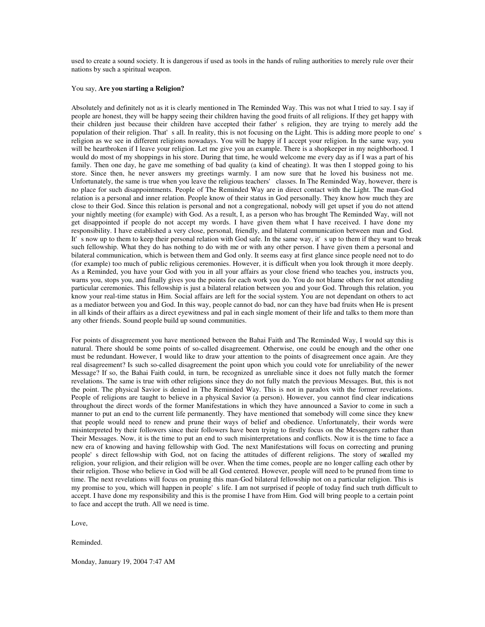used to create a sound society. It is dangerous if used as tools in the hands of ruling authorities to merely rule over their nations by such a spiritual weapon.

## You say, **Are you starting a Religion?**

Absolutely and definitely not as it is clearly mentioned in The Reminded Way. This was not what I tried to say. I say if people are honest, they will be happy seeing their children having the good fruits of all religions. If they get happy with their children just because their children have accepted their father's religion, they are trying to merely add the population of their religion. That's all. In reality, this is not focusing on the Light. This is adding more people to one's religion as we see in different religions nowadays. You will be happy if I accept your religion. In the same way, you will be heartbroken if I leave your religion. Let me give you an example. There is a shopkeeper in my neighborhood. I would do most of my shoppings in his store. During that time, he would welcome me every day as if I was a part of his family. Then one day, he gave me something of bad quality (a kind of cheating). It was then I stopped going to his store. Since then, he never answers my greetings warmly. I am now sure that he loved his business not me. Unfortunately, the same is true when you leave the religious teachers' classes. In The Reminded Way, however, there is no place for such disappointments. People of The Reminded Way are in direct contact with the Light. The man-God relation is a personal and inner relation. People know of their status in God personally. They know how much they are close to their God. Since this relation is personal and not a congregational, nobody will get upset if you do not attend your nightly meeting (for example) with God. As a result, I, as a person who has brought The Reminded Way, will not get disappointed if people do not accept my words. I have given them what I have received. I have done my responsibility. I have established a very close, personal, friendly, and bilateral communication between man and God. It's now up to them to keep their personal relation with God safe. In the same way, it's up to them if they want to break such fellowship. What they do has nothing to do with me or with any other person. I have given them a personal and bilateral communication, which is between them and God only. It seems easy at first glance since people need not to do (for example) too much of public religious ceremonies. However, it is difficult when you look through it more deeply. As a Reminded, you have your God with you in all your affairs as your close friend who teaches you, instructs you, warns you, stops you, and finally gives you the points for each work you do. You do not blame others for not attending particular ceremonies. This fellowship is just a bilateral relation between you and your God. Through this relation, you know your real-time status in Him. Social affairs are left for the social system. You are not dependant on others to act as a mediator between you and God. In this way, people cannot do bad, nor can they have bad fruits when He is present in all kinds of their affairs as a direct eyewitness and pal in each single moment of their life and talks to them more than any other friends. Sound people build up sound communities.

For points of disagreement you have mentioned between the Bahai Faith and The Reminded Way, I would say this is natural. There should be some points of so-called disagreement. Otherwise, one could be enough and the other one must be redundant. However, I would like to draw your attention to the points of disagreement once again. Are they real disagreement? Is such so-called disagreement the point upon which you could vote for unreliability of the newer Message? If so, the Bahai Faith could, in turn, be recognized as unreliable since it does not fully match the former revelations. The same is true with other religions since they do not fully match the previous Messages. But, this is not the point. The physical Savior is denied in The Reminded Way. This is not in paradox with the former revelations. People of religions are taught to believe in a physical Savior (a person). However, you cannot find clear indications throughout the direct words of the former Manifestations in which they have announced a Savior to come in such a manner to put an end to the current life permanently. They have mentioned that somebody will come since they knew that people would need to renew and prune their ways of belief and obedience. Unfortunately, their words were misinterpreted by their followers since their followers have been trying to firstly focus on the Messengers rather than Their Messages. Now, it is the time to put an end to such misinterpretations and conflicts. Now it is the time to face a new era of knowing and having fellowship with God. The next Manifestations will focus on correcting and pruning people's direct fellowship with God, not on facing the attitudes of different religions. The story of secalled my religion, your religion, and their religion will be over. When the time comes, people are no longer calling each other by their religion. Those who believe in God will be all God centered. However, people will need to be pruned from time to time. The next revelations will focus on pruning this man-God bilateral fellowship not on a particular religion. This is my promise to you, which will happen in people's life. I am not surprised if people of today find such truth difficult to accept. I have done my responsibility and this is the promise I have from Him. God will bring people to a certain point to face and accept the truth. All we need is time.

Love,

Reminded.

Monday, January 19, 2004 7:47 AM